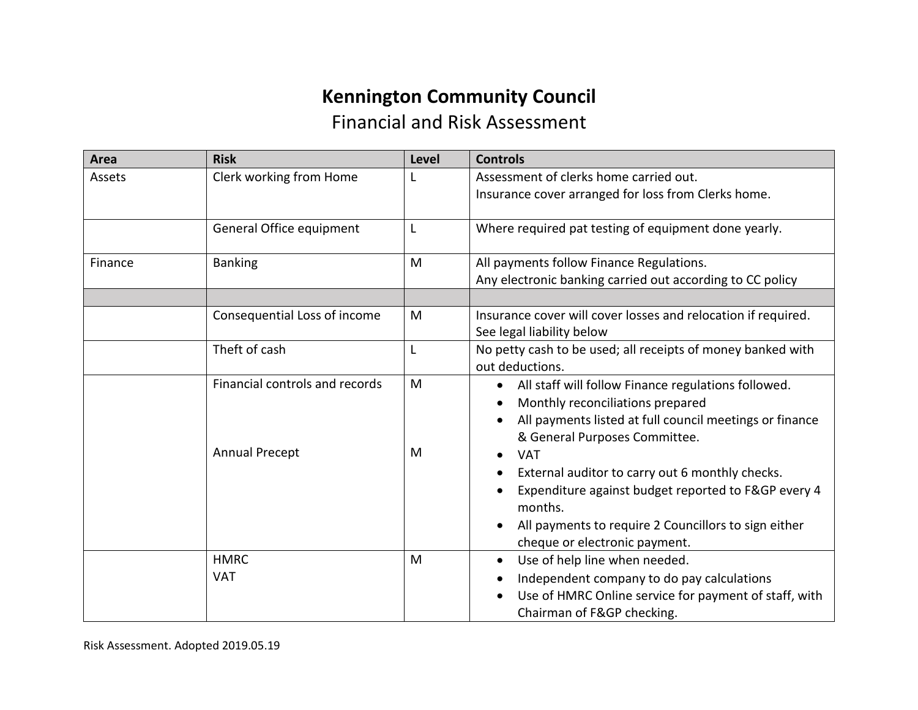## **Kennington Community Council** Financial and Risk Assessment

| Area    | <b>Risk</b>                                             | <b>Level</b> | <b>Controls</b>                                                                                                                                                                                                                                                                                                                                                                                                                           |
|---------|---------------------------------------------------------|--------------|-------------------------------------------------------------------------------------------------------------------------------------------------------------------------------------------------------------------------------------------------------------------------------------------------------------------------------------------------------------------------------------------------------------------------------------------|
| Assets  | Clerk working from Home                                 |              | Assessment of clerks home carried out.<br>Insurance cover arranged for loss from Clerks home.                                                                                                                                                                                                                                                                                                                                             |
|         | General Office equipment                                | L            | Where required pat testing of equipment done yearly.                                                                                                                                                                                                                                                                                                                                                                                      |
| Finance | <b>Banking</b>                                          | M            | All payments follow Finance Regulations.<br>Any electronic banking carried out according to CC policy                                                                                                                                                                                                                                                                                                                                     |
|         | Consequential Loss of income                            | M            | Insurance cover will cover losses and relocation if required.<br>See legal liability below                                                                                                                                                                                                                                                                                                                                                |
|         | Theft of cash                                           | L            | No petty cash to be used; all receipts of money banked with<br>out deductions.                                                                                                                                                                                                                                                                                                                                                            |
|         | Financial controls and records<br><b>Annual Precept</b> | M<br>M       | All staff will follow Finance regulations followed.<br>$\bullet$<br>Monthly reconciliations prepared<br>All payments listed at full council meetings or finance<br>& General Purposes Committee.<br><b>VAT</b><br>$\bullet$<br>External auditor to carry out 6 monthly checks.<br>Expenditure against budget reported to F&GP every 4<br>months.<br>All payments to require 2 Councillors to sign either<br>cheque or electronic payment. |
|         | <b>HMRC</b><br><b>VAT</b>                               | M            | Use of help line when needed.<br>$\bullet$<br>Independent company to do pay calculations<br>$\bullet$<br>Use of HMRC Online service for payment of staff, with<br>$\bullet$<br>Chairman of F&GP checking.                                                                                                                                                                                                                                 |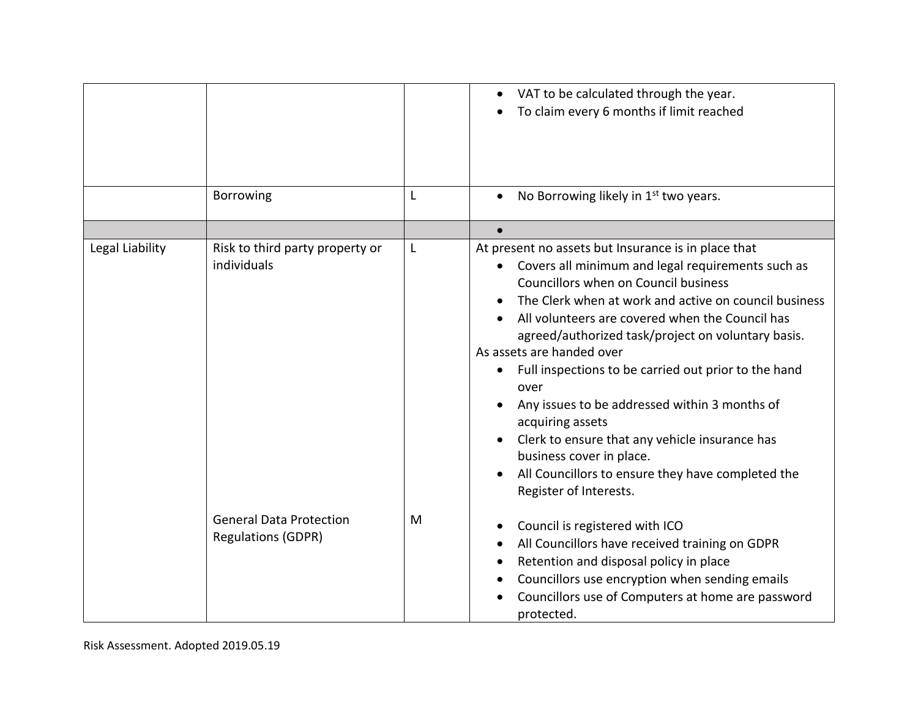|                 |                                                             |   | VAT to be calculated through the year.<br>To claim every 6 months if limit reached                                                                                                                                                                                                                                                                                                                                                                                                                                                                                                                                                                                                                                 |
|-----------------|-------------------------------------------------------------|---|--------------------------------------------------------------------------------------------------------------------------------------------------------------------------------------------------------------------------------------------------------------------------------------------------------------------------------------------------------------------------------------------------------------------------------------------------------------------------------------------------------------------------------------------------------------------------------------------------------------------------------------------------------------------------------------------------------------------|
|                 | Borrowing                                                   | L | No Borrowing likely in 1 <sup>st</sup> two years.<br>$\bullet$                                                                                                                                                                                                                                                                                                                                                                                                                                                                                                                                                                                                                                                     |
|                 |                                                             |   | $\bullet$                                                                                                                                                                                                                                                                                                                                                                                                                                                                                                                                                                                                                                                                                                          |
| Legal Liability | Risk to third party property or<br>individuals              | L | At present no assets but Insurance is in place that<br>Covers all minimum and legal requirements such as<br>$\bullet$<br>Councillors when on Council business<br>The Clerk when at work and active on council business<br>$\bullet$<br>All volunteers are covered when the Council has<br>agreed/authorized task/project on voluntary basis.<br>As assets are handed over<br>Full inspections to be carried out prior to the hand<br>over<br>Any issues to be addressed within 3 months of<br>$\bullet$<br>acquiring assets<br>Clerk to ensure that any vehicle insurance has<br>$\bullet$<br>business cover in place.<br>All Councillors to ensure they have completed the<br>$\bullet$<br>Register of Interests. |
|                 | <b>General Data Protection</b><br><b>Regulations (GDPR)</b> | M | Council is registered with ICO<br>٠<br>All Councillors have received training on GDPR<br>$\bullet$<br>Retention and disposal policy in place<br>٠<br>Councillors use encryption when sending emails<br>Councillors use of Computers at home are password<br>protected.                                                                                                                                                                                                                                                                                                                                                                                                                                             |